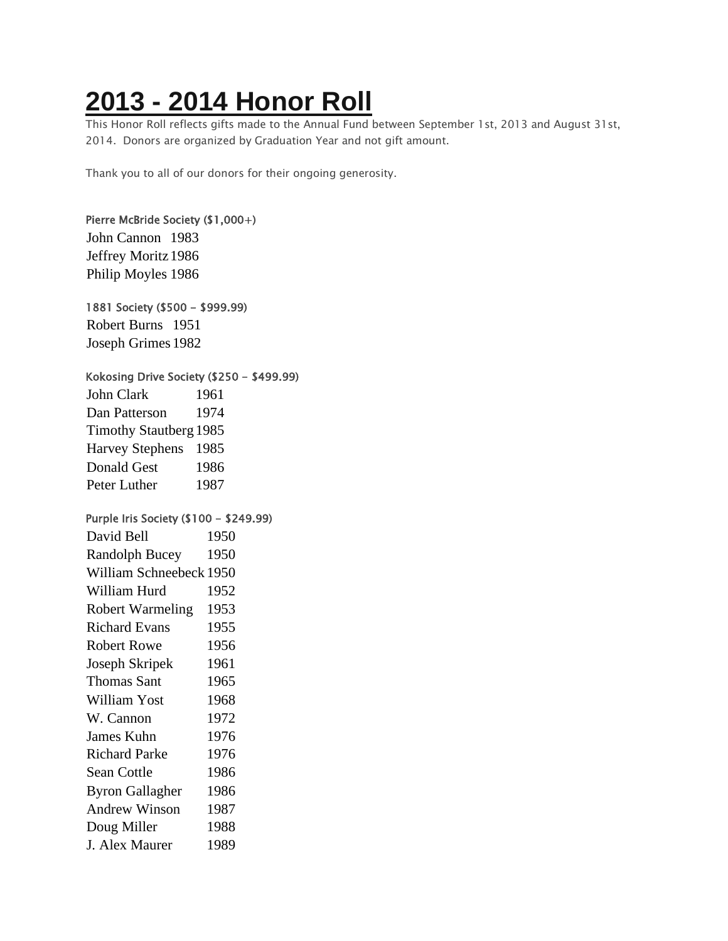## **2013 - 2014 [Honor](https://chidelts.2stayconnected.com/index.php?option=com_content&view=article&id=347:2013-2014-honor-roll&catid=42&Itemid=624) Roll**

This Honor Roll reflects gifts made to the Annual Fund between September 1st, 2013 and August 31st, 2014. Donors are organized by Graduation Year and not gift amount.

Thank you to all of our donors for their ongoing generosity.

## Pierre McBride Society (\$1,000+) John Cannon 1983 Jeffrey Moritz1986 Philip Moyles 1986 1881 Society (\$500 - \$999.99) Robert Burns 1951 Joseph Grimes 1982 Kokosing Drive Society (\$250 - \$499.99) John Clark 1961 Dan Patterson 1974 Timothy Stautberg 1985 Harvey Stephens 1985 Donald Gest 1986 Peter Luther 1987 Purple Iris Society (\$100 - \$249.99) David Bell 1950 Randolph Bucey 1950 William Schneebeck 1950 William Hurd 1952 Robert Warmeling 1953 Richard Evans 1955 Robert Rowe 1956 Joseph Skripek 1961 Thomas Sant 1965 William Yost 1968 W. Cannon 1972 James Kuhn 1976 Richard Parke 1976 Sean Cottle 1986 Byron Gallagher 1986 Andrew Winson 1987 Doug Miller 1988 J. Alex Maurer 1989